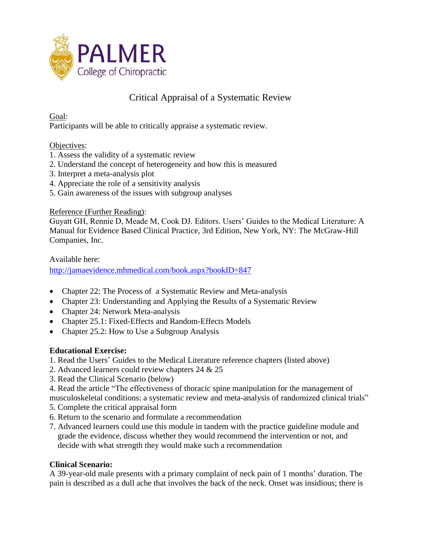

# Critical Appraisal of a Systematic Review

Goal:

Participants will be able to critically appraise a systematic review.

### Objectives:

- 1. Assess the validity of a systematic review
- 2. Understand the concept of heterogeneity and how this is measured
- 3. Interpret a meta-analysis plot
- 4. Appreciate the role of a sensitivity analysis
- 5. Gain awareness of the issues with subgroup analyses

### Reference (Further Reading):

Guyatt GH, Rennie D, Meade M, Cook DJ. Editors. Users' Guides to the Medical Literature: A Manual for Evidence Based Clinical Practice, 3rd Edition, New York, NY: The McGraw-Hill Companies, Inc.

Available here:

<http://jamaevidence.mhmedical.com/book.aspx?bookID=847>

- Chapter 22: The Process of a Systematic Review and Meta-analysis
- Chapter 23: Understanding and Applying the Results of a Systematic Review
- Chapter 24: Network Meta-analysis
- Chapter 25.1: Fixed-Effects and Random-Effects Models
- Chapter 25.2: How to Use a Subgroup Analysis

### **Educational Exercise:**

- 1. Read the Users' Guides to the Medical Literature reference chapters (listed above)
- 2. Advanced learners could review chapters 24 & 25
- 3. Read the Clinical Scenario (below)
- 4. Read the article "The effectiveness of thoracic spine manipulation for the management of musculoskeletal conditions: a systematic review and meta-analysis of randomized clinical trials"
- 5. Complete the critical appraisal form
- 6. Return to the scenario and formulate a recommendation
- 7. Advanced learners could use this module in tandem with the practice guideline module and grade the evidence, discuss whether they would recommend the intervention or not, and decide with what strength they would make such a recommendation

### **Clinical Scenario:**

A 39-year-old male presents with a primary complaint of neck pain of 1 months' duration. The pain is described as a dull ache that involves the back of the neck. Onset was insidious; there is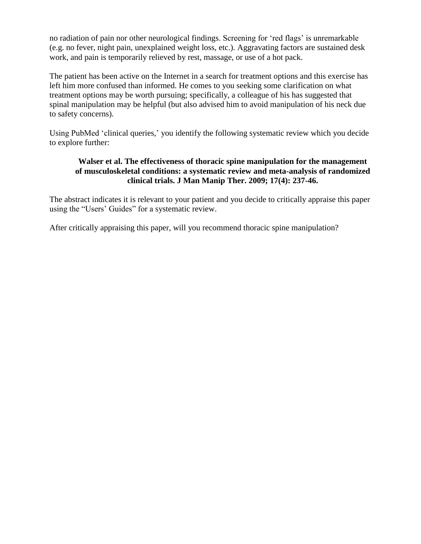no radiation of pain nor other neurological findings. Screening for 'red flags' is unremarkable (e.g. no fever, night pain, unexplained weight loss, etc.). Aggravating factors are sustained desk work, and pain is temporarily relieved by rest, massage, or use of a hot pack.

The patient has been active on the Internet in a search for treatment options and this exercise has left him more confused than informed. He comes to you seeking some clarification on what treatment options may be worth pursuing; specifically, a colleague of his has suggested that spinal manipulation may be helpful (but also advised him to avoid manipulation of his neck due to safety concerns).

Using PubMed 'clinical queries,' you identify the following systematic review which you decide to explore further:

### **Walser et al. The effectiveness of thoracic spine manipulation for the management of musculoskeletal conditions: a systematic review and meta-analysis of randomized clinical trials. J Man Manip Ther. 2009; 17(4): 237-46.**

The abstract indicates it is relevant to your patient and you decide to critically appraise this paper using the "Users' Guides" for a systematic review.

After critically appraising this paper, will you recommend thoracic spine manipulation?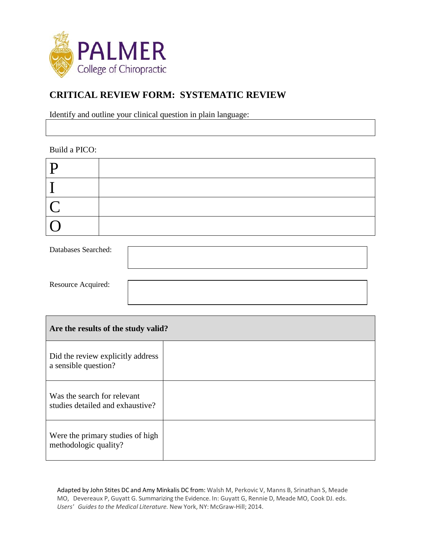

# **CRITICAL REVIEW FORM: SYSTEMATIC REVIEW**

Identify and outline your clinical question in plain language:

### Build a PICO:

| - 10           |  |
|----------------|--|
|                |  |
| $\blacksquare$ |  |
|                |  |

| Databases Searched: |  |
|---------------------|--|
| Resource Acquired:  |  |

| Are the results of the study valid?                             |  |  |
|-----------------------------------------------------------------|--|--|
| Did the review explicitly address<br>a sensible question?       |  |  |
| Was the search for relevant<br>studies detailed and exhaustive? |  |  |
| Were the primary studies of high<br>methodologic quality?       |  |  |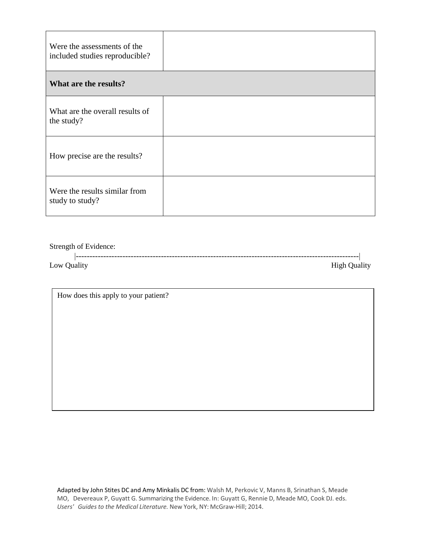| Were the assessments of the<br>included studies reproducible? |  |
|---------------------------------------------------------------|--|
| What are the results?                                         |  |
| What are the overall results of<br>the study?                 |  |
| How precise are the results?                                  |  |
| Were the results similar from<br>study to study?              |  |

Strength of Evidence:

|          | . |  |
|----------|---|--|
| -<br>Low |   |  |

How does this apply to your patient?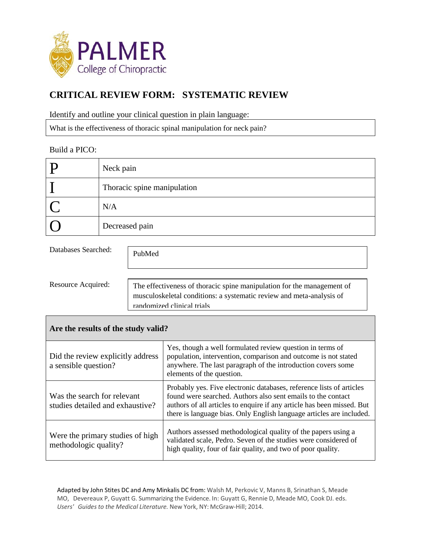

# **CRITICAL REVIEW FORM: SYSTEMATIC REVIEW**

Identify and outline your clinical question in plain language:

What is the effectiveness of thoracic spinal manipulation for neck pain?

### Build a PICO:

| D | Neck pain                   |
|---|-----------------------------|
|   | Thoracic spine manipulation |
|   | N/A                         |
|   | Decreased pain              |

Databases Searched:

PubMed

Resource Acquired:

The effectiveness of thoracic spine manipulation for the management of musculoskeletal conditions: a systematic review and meta-analysis of randomized clinical trials

### **Are the results of the study valid?**

| Did the review explicitly address<br>a sensible question?       | Yes, though a well formulated review question in terms of<br>population, intervention, comparison and outcome is not stated<br>anywhere. The last paragraph of the introduction covers some<br>elements of the question.                                                               |
|-----------------------------------------------------------------|----------------------------------------------------------------------------------------------------------------------------------------------------------------------------------------------------------------------------------------------------------------------------------------|
| Was the search for relevant<br>studies detailed and exhaustive? | Probably yes. Five electronic databases, reference lists of articles<br>found were searched. Authors also sent emails to the contact<br>authors of all articles to enquire if any article has been missed. But<br>there is language bias. Only English language articles are included. |
| Were the primary studies of high<br>methodologic quality?       | Authors assessed methodological quality of the papers using a<br>validated scale, Pedro. Seven of the studies were considered of<br>high quality, four of fair quality, and two of poor quality.                                                                                       |